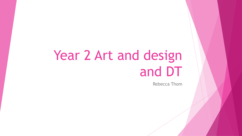# Year 2 Art and design and DT

Rebecca Thom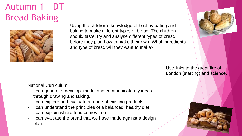Autumn 1 – DT Bread Baking



Using the children's knowledge of healthy eating and baking to make different types of bread. The children should taste, try and analyse different types of bread before they plan how to make their own. What ingredients and type of bread will they want to make?



Use links to the great fire of London (starting) and science.

- I can generate, develop, model and communicate my ideas through drawing and talking.
- I can explore and evaluate a range of existing products.
- I can understand the principles of a balanced, healthy diet.
- I can explain where food comes from.
- I can evaluate the bread that we have made against a design plan.

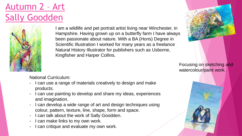## Autumn 2 – Art Sally Goodden



I am a wildlife and pet portrait artist living near Winchester, in Hampshire. Having grown up on a butterfly farm I have always been passionate about nature. With a BA (Hons) Degree in Scientific Illustration I worked for many years as a freelance Natural History Illustrator for publishers such as Usborne, Kingfisher and Harper Collins.



Focusing on sketching and watercolour/paint work.

- I can use a range of materials creatively to design and make products.
- I can use painting to develop and share my ideas, experiences and imagination.
- I can develop a wide range of art and design techniques using colour, pattern, texture, line, shape, form and space.
- I can talk about the work of Sally Goodden.
- I can make links to my own work.
- I can critique and evaluate my own work.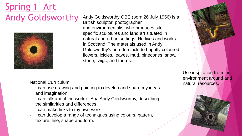## Spring 1– Art Andy Goldsworthy



Andy Goldsworthy OBE (born 26 July 1956) is a British sculptor, photographer and environmentalist who produces sitespecific sculptures and land art situated in natural and urban settings. He lives and works in Scotland. The materials used in Andy Goldsworthy's art often include brightly coloured flowers, icicles, leaves, mud, pinecones, snow, stone, twigs, and thorns.



Use inspiration from the environment around and natural resources.

- I can use drawing and painting to develop and share my ideas and imagination.
- I can talk about the work of Ana Andy Goldsworthy, describing the similarities and differences.
- I can make links to my own work.
- I can develop a range of techniques using colours, pattern, texture, line, shape and form.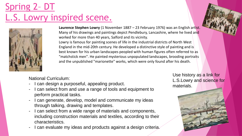## Spring 2– DT L.S. Lowry inspired scene.



**Laurence Stephen Lowry** (1 November 1887 – 23 February 1976) was an English artist. Many of his drawings and paintings depict Pendlebury, Lancashire, where he lived and worked for more than 40 years, Salford and its vicinity.

Lowry is famous for painting scenes of life in the industrial districts of North West England in the mid-20th century. He developed a distinctive style of painting and is best known for his urban landscapes peopled with human figures often referred to as "matchstick men". He painted mysterious unpopulated landscapes, brooding portraits and the unpublished "marionette" works, which were only found after his death.

National Curriculum:

- I can design a purposeful, appealing product.
- I can select from and use a range of tools and equipment to perform practical tasks.
- I can generate, develop, model and communicate my ideas through talking, drawing and templates.
- I can select from a wide range of materials and components, including construction materials and textiles, according to their characteristics.
- I can evaluate my ideas and products against a design criteria.

Use history as a link for L.S.Lowry and science for materials.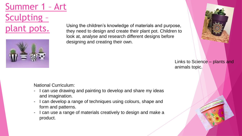Summer 1 – Art Sculpting – plant pots.



Using the children's knowledge of materials and purpose, they need to design and create their plant pot. Children to look at, analyse and research different designs before designing and creating their own.

> Links to Science – plants and animals topic.

- I can use drawing and painting to develop and share my ideas and imagination.
- I can develop a range of techniques using colours, shape and form and patterns.
- I can use a range of materials creatively to design and make a product.